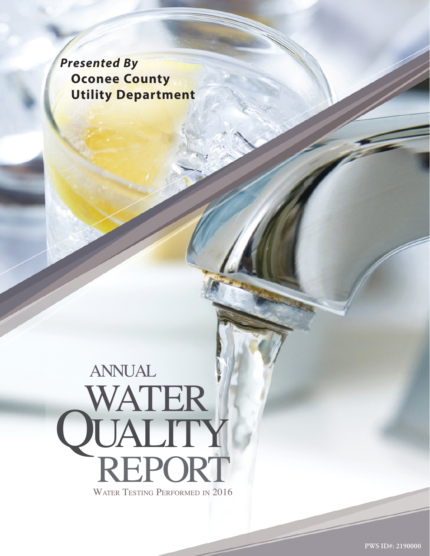*Presented By*  **Oconee County Utility Department**

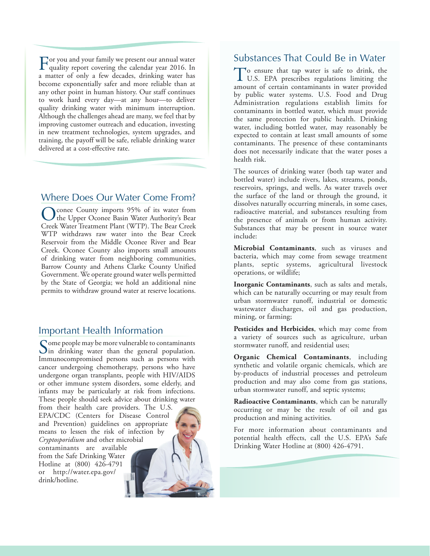For you and your family we present our annual water quality report covering the calendar year 2016. In a matter of only a few decades, drinking water has become exponentially safer and more reliable than at any other point in human history. Our staff continues to work hard every day—at any hour—to deliver quality drinking water with minimum interruption. Although the challenges ahead are many, we feel that by improving customer outreach and education, investing in new treatment technologies, system upgrades, and training, the payoff will be safe, reliable drinking water delivered at a cost-effective rate.

#### Where Does Our Water Come From?

Oconee County imports 95% of its water from<br>
the Upper Oconee Basin Water Authority's Bear<br>
Court, Wester Theorem Plan (WTD), The BearCourt Creek Water Treatment Plant (WTP). The Bear Creek WTP withdraws raw water into the Bear Creek Reservoir from the Middle Oconee River and Bear Creek. Oconee County also imports small amounts of drinking water from neighboring communities, Barrow County and Athens Clarke County Unified Government. We operate ground water wells permitted by the State of Georgia; we hold an additional nine permits to withdraw ground water at reserve locations.

#### Important Health Information

Some people may be more vulnerable to contaminants<br>in drinking water than the general population. Immunocompromised persons such as persons with cancer undergoing chemotherapy, persons who have undergone organ transplants, people with HIV/AIDS or other immune system disorders, some elderly, and infants may be particularly at risk from infections. These people should seek advice about drinking water from their health care providers. The U.S.

EPA/CDC (Centers for Disease Control and Prevention) guidelines on appropriate means to lessen the risk of infection by *Cryptosporidium* and other microbial contaminants are available from the Safe Drinking Water Hotline at (800) 426-4791 or [http://water.epa.gov/](http://water.epa.gov/drink/hotline) [drink/hotline](http://water.epa.gov/drink/hotline).

# Substances That Could Be in Water

To ensure that tap water is safe to drink, the U.S. EPA prescribes regulations limiting the amount of certain contaminants in water provided by public water systems. U.S. Food and Drug Administration regulations establish limits for contaminants in bottled water, which must provide the same protection for public health. Drinking water, including bottled water, may reasonably be expected to contain at least small amounts of some contaminants. The presence of these contaminants does not necessarily indicate that the water poses a health risk.

The sources of drinking water (both tap water and bottled water) include rivers, lakes, streams, ponds, reservoirs, springs, and wells. As water travels over the surface of the land or through the ground, it dissolves naturally occurring minerals, in some cases, radioactive material, and substances resulting from the presence of animals or from human activity. Substances that may be present in source water include:

**Microbial Contaminants**, such as viruses and bacteria, which may come from sewage treatment plants, septic systems, agricultural livestock operations, or wildlife;

**Inorganic Contaminants**, such as salts and metals, which can be naturally occurring or may result from urban stormwater runoff, industrial or domestic wastewater discharges, oil and gas production, mining, or farming;

**Pesticides and Herbicides**, which may come from a variety of sources such as agriculture, urban stormwater runoff, and residential uses;

**Organic Chemical Contaminants**, including synthetic and volatile organic chemicals, which are by-products of industrial processes and petroleum production and may also come from gas stations, urban stormwater runoff, and septic systems;

**Radioactive Contaminants**, which can be naturally occurring or may be the result of oil and gas production and mining activities.

For more information about contaminants and potential health effects, call the U.S. EPA's Safe Drinking Water Hotline at (800) 426-4791.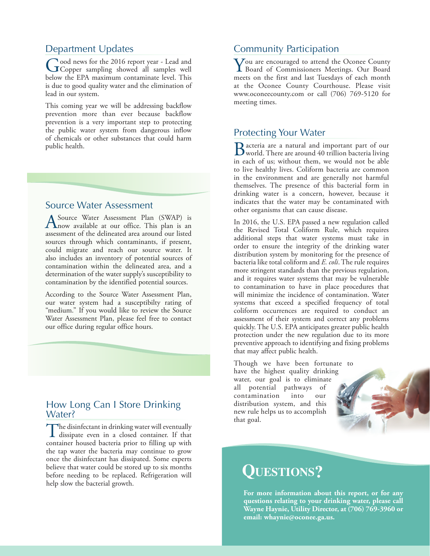# Department Updates

Good news for the 2016 report year - Lead and<br>
Gopper sampling showed all samples well below the EPA maximum contaminate level. This is due to good quality water and the elimination of lead in our system.

This coming year we will be addressing backflow prevention more than ever because backflow prevention is a very important step to protecting the public water system from dangerous inflow of chemicals or other substances that could harm public health.

#### Source Water Assessment

A Source Water Assessment Plan (SWAP) is<br>
now available at our office. This plan is an assessment of the delineated area around our listed sources through which contaminants, if present, could migrate and reach our source water. It also includes an inventory of potential sources of contamination within the delineated area, and a determination of the water supply's susceptibility to contamination by the identified potential sources.

According to the Source Water Assessment Plan, our water system had a susceptibilty rating of "medium." If you would like to review the Source Water Assessment Plan, please feel free to contact our office during regular office hours.

### How Long Can I Store Drinking Water?

The disinfectant in drinking water will eventually dissipate even in a closed container. If that container housed bacteria prior to filling up with the tap water the bacteria may continue to grow once the disinfectant has dissipated. Some experts believe that water could be stored up to six months before needing to be replaced. Refrigeration will help slow the bacterial growth.

# Community Participation

You are encouraged to attend the Oconee County Board of Commissioners Meetings. Our Board meets on the first and last Tuesdays of each month at the Oconee County Courthouse. Please visit [www.oconeecounty.com](http://www.oconeecounty.com) or call (706) 769-5120 for meeting times.

### Protecting Your Water

Bacteria are a natural and important part of our world. There are around 40 trillion bacteria living in each of us; without them, we would not be able to live healthy lives. Coliform bacteria are common in the environment and are generally not harmful themselves. The presence of this bacterial form in drinking water is a concern, however, because it indicates that the water may be contaminated with other organisms that can cause disease.

In 2016, the U.S. EPA passed a new regulation called the Revised Total Coliform Rule, which requires additional steps that water systems must take in order to ensure the integrity of the drinking water distribution system by monitoring for the presence of bacteria like total coliform and *E. coli*. The rule requires more stringent standards than the previous regulation, and it requires water systems that may be vulnerable to contamination to have in place procedures that will minimize the incidence of contamination. Water systems that exceed a specified frequency of total coliform occurrences are required to conduct an assessment of their system and correct any problems quickly. The U.S. EPA anticipates greater public health protection under the new regulation due to its more preventive approach to identifying and fixing problems that may affect public health.

Though we have been fortunate to have the highest quality drinking water, our goal is to eliminate all potential pathways of contamination into our distribution system, and this new rule helps us to accomplish that goal.

# **Questions?**

**For more information about this report, or for any questions relating to your drinking water, please call Wayne Haynie, Utility Director, at (706) 769-3960 or email: [whaynie@oconee.ga.us](mailto:whaynie@oconee.ga.us).**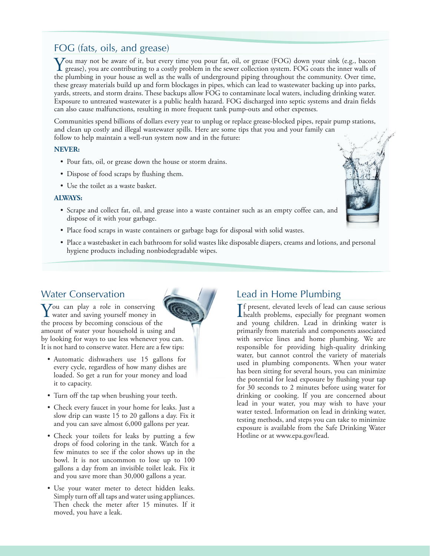## FOG (fats, oils, and grease)

You may not be aware of it, but every time you pour fat, oil, or grease (FOG) down your sink (e.g., bacon grease), you are contributing to a costly problem in the sewer collection system. FOG coats the inner walls of the s the plumbing in your house as well as the walls of underground piping throughout the community. Over time, these greasy materials build up and form blockages in pipes, which can lead to wastewater backing up into parks, yards, streets, and storm drains. These backups allow FOG to contaminate local waters, including drinking water. Exposure to untreated wastewater is a public health hazard. FOG discharged into septic systems and drain fields can also cause malfunctions, resulting in more frequent tank pump-outs and other expenses.

Communities spend billions of dollars every year to unplug or replace grease-blocked pipes, repair pump stations, and clean up costly and illegal wastewater spills. Here are some tips that you and your family can follow to help maintain a well-run system now and in the future:

#### **NEVER:**

- Pour fats, oil, or grease down the house or storm drains.
- Dispose of food scraps by flushing them.
- Use the toilet as a waste basket.

#### **ALWAYS:**

- Scrape and collect fat, oil, and grease into a waste container such as an empty coffee can, and dispose of it with your garbage.
- Place food scraps in waste containers or garbage bags for disposal with solid wastes.
- Place a wastebasket in each bathroom for solid wastes like disposable diapers, creams and lotions, and personal hygiene products including nonbiodegradable wipes.

### Water Conservation



- Automatic dishwashers use 15 gallons for every cycle, regardless of how many dishes are loaded. So get a run for your money and load it to capacity.
- Turn off the tap when brushing your teeth.
- Check every faucet in your home for leaks. Just a slow drip can waste 15 to 20 gallons a day. Fix it and you can save almost 6,000 gallons per year.
- Check your toilets for leaks by putting a few drops of food coloring in the tank. Watch for a few minutes to see if the color shows up in the bowl. It is not uncommon to lose up to 100 gallons a day from an invisible toilet leak. Fix it and you save more than 30,000 gallons a year.
- Use your water meter to detect hidden leaks. Simply turn off all taps and water using appliances. Then check the meter after 15 minutes. If it moved, you have a leak.

# Lead in Home Plumbing

If present, elevated levels of lead can cause serious<br>health problems, especially for pregnant women **T**f present, elevated levels of lead can cause serious and young children. Lead in drinking water is primarily from materials and components associated with service lines and home plumbing. We are responsible for providing high-quality drinking water, but cannot control the variety of materials used in plumbing components. When your water has been sitting for several hours, you can minimize the potential for lead exposure by flushing your tap for 30 seconds to 2 minutes before using water for drinking or cooking. If you are concerned about lead in your water, you may wish to have your water tested. Information on lead in drinking water, testing methods, and steps you can take to minimize exposure is available from the Safe Drinking Water Hotline or at [www.epa.gov/lead](http://www.epa.gov/lead).

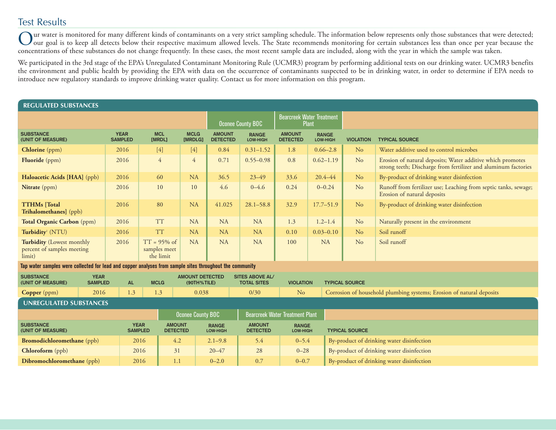## Test Results

Our water is monitored for many different kinds of contaminants on a very strict sampling schedule. The information below represents only those substances that were detected;<br>Our goal is to keep all detects below their res concentrations of these substances do not change frequently. In these cases, the most recent sample data are included, along with the year in which the sample was taken.

We participated in the 3rd stage of the EPA's Unregulated Contaminant Monitoring Rule (UCMR3) program by performing additional tests on our drinking water. UCMR3 benefits the environment and public health by providing the EPA with data on the occurrence of contaminants suspected to be in drinking water, in order to determine if EPA needs to introduce new regulatory standards to improve drinking water quality. Contact us for more information on this program.

| <b>REGULATED SUBSTANCES</b>                                                                              |                               |                               |                                                 |             |                                                  |                                                              |                                              |                                  |                          |                                                                      |  |                                                                                                                              |
|----------------------------------------------------------------------------------------------------------|-------------------------------|-------------------------------|-------------------------------------------------|-------------|--------------------------------------------------|--------------------------------------------------------------|----------------------------------------------|----------------------------------|--------------------------|----------------------------------------------------------------------|--|------------------------------------------------------------------------------------------------------------------------------|
|                                                                                                          |                               |                               | <b>Oconee County BOC</b>                        |             | <b>Bearcreek Water Treatment</b><br><b>Plant</b> |                                                              |                                              |                                  |                          |                                                                      |  |                                                                                                                              |
| <b>SUBSTANCE</b><br>(UNIT OF MEASURE)                                                                    |                               | <b>YEAR</b><br><b>SAMPLED</b> | <b>MCL</b><br>[MRDL]                            |             | <b>MCLG</b><br>[MRDLG]                           | <b>AMOUNT</b><br><b>DETECTED</b>                             | <b>RANGE</b><br>LOW-HIGH                     | <b>AMOUNT</b><br><b>DETECTED</b> | <b>RANGE</b><br>LOW-HIGH | <b>VIOLATION</b>                                                     |  | <b>TYPICAL SOURCE</b>                                                                                                        |
| <b>Chlorine</b> (ppm)                                                                                    |                               | 2016                          | $[4]$                                           |             | $[4]$                                            | 0.84                                                         | $0.31 - 1.52$                                | 1.8                              | $0.66 - 2.8$             | N <sub>o</sub>                                                       |  | Water additive used to control microbes                                                                                      |
| <b>Fluoride</b> (ppm)                                                                                    |                               | 2016                          | $\overline{4}$                                  |             | $\overline{4}$                                   | 0.71                                                         | $0.55 - 0.98$                                | 0.8                              | $0.62 - 1.19$            | N <sub>o</sub>                                                       |  | Erosion of natural deposits; Water additive which promotes<br>strong teeth; Discharge from fertilizer and aluminum factories |
| Haloacetic Acids [HAA] (ppb)                                                                             |                               | 2016                          | 60                                              |             | NA                                               | 36.5                                                         | $23 - 49$                                    | 33.6                             | $20.4 - 44$              | N <sub>o</sub>                                                       |  | By-product of drinking water disinfection                                                                                    |
| Nitrate (ppm)                                                                                            |                               | 2016                          |                                                 | 10          | 10                                               | 4.6                                                          | $0 - 4.6$                                    | 0.24                             | $0 - 0.24$               | N <sub>o</sub>                                                       |  | Runoff from fertilizer use; Leaching from septic tanks, sewage;<br>Erosion of natural deposits                               |
| <b>TTHMs</b> [Total<br>Trihalomethanes] (ppb)                                                            |                               | 2016                          |                                                 | 80          | NA                                               | 41.025                                                       | $28.1 - 58.8$                                | 32.9                             | $17.7 - 51.9$            | N <sub>o</sub>                                                       |  | By-product of drinking water disinfection                                                                                    |
| Total Organic Carbon (ppm)                                                                               |                               | 2016                          |                                                 | <b>TT</b>   | <b>NA</b>                                        | <b>NA</b>                                                    | <b>NA</b>                                    | 1.3                              | $1.2 - 1.4$              | N <sub>o</sub>                                                       |  | Naturally present in the environment                                                                                         |
| Turbidity <sup>1</sup> (NTU)                                                                             |                               | 2016                          |                                                 | <b>TT</b>   | <b>NA</b>                                        | <b>NA</b>                                                    | <b>NA</b>                                    | 0.10                             | $0.03 - 0.10$            | N <sub>o</sub>                                                       |  | Soil runoff                                                                                                                  |
| Turbidity (Lowest monthly<br>percent of samples meeting<br>limit)                                        |                               | 2016                          | $TT = 95\%$ of<br>samples meet<br>the limit     |             | <b>NA</b>                                        | <b>NA</b>                                                    | <b>NA</b>                                    | 100                              | <b>NA</b>                | No                                                                   |  | Soil runoff                                                                                                                  |
| Tap water samples were collected for lead and copper analyses from sample sites throughout the community |                               |                               |                                                 |             |                                                  |                                                              |                                              |                                  |                          |                                                                      |  |                                                                                                                              |
| <b>SUBSTANCE</b><br>(UNIT OF MEASURE)                                                                    | <b>YEAR</b><br><b>SAMPLED</b> |                               |                                                 | <b>MCLG</b> |                                                  | <b>AMOUNT DETECTED</b><br>(90TH%TILE)                        | <b>SITES ABOVE AL/</b><br><b>TOTAL SITES</b> | <b>VIOLATION</b>                 |                          | <b>TYPICAL SOURCE</b>                                                |  |                                                                                                                              |
| <b>Copper</b> (ppm)                                                                                      | 2016                          |                               | 1.3<br>1.3                                      |             | 0.038                                            |                                                              | 0/30                                         | N <sub>o</sub>                   |                          | Corrosion of household plumbing systems; Erosion of natural deposits |  |                                                                                                                              |
| <b>UNREGULATED SUBSTANCES</b>                                                                            |                               |                               |                                                 |             |                                                  |                                                              |                                              |                                  |                          |                                                                      |  |                                                                                                                              |
| <b>Oconee County BOC</b>                                                                                 |                               |                               |                                                 |             |                                                  | <b>Bearcreek Water Treatment Plant</b>                       |                                              |                                  |                          |                                                                      |  |                                                                                                                              |
| <b>SUBSTANCE</b><br>(UNIT OF MEASURE)                                                                    |                               | <b>SAMPLED</b>                | <b>YEAR</b><br><b>AMOUNT</b><br><b>DETECTED</b> |             |                                                  | <b>AMOUNT</b><br><b>RANGE</b><br><b>DETECTED</b><br>LOW-HIGH |                                              | <b>RANGE</b><br>LOW-HIGH         |                          | <b>TYPICAL SOURCE</b>                                                |  |                                                                                                                              |
| <b>Bromodichloromethane</b> (ppb)                                                                        |                               |                               | 2016                                            |             | 4.2                                              | $2.1 - 9.8$                                                  | 5.4                                          | $0 - 5.4$                        |                          | By-product of drinking water disinfection                            |  |                                                                                                                              |
| Chloroform (ppb)                                                                                         |                               |                               | 2016                                            |             | 31                                               | $20 - 47$                                                    | 28                                           | $0 - 28$                         |                          | By-product of drinking water disinfection                            |  |                                                                                                                              |
| Dibromochloromethane (ppb)                                                                               |                               |                               | 2016                                            |             | 1.1                                              |                                                              | 0.7                                          | $0 - 0.7$                        |                          | By-product of drinking water disinfection                            |  |                                                                                                                              |